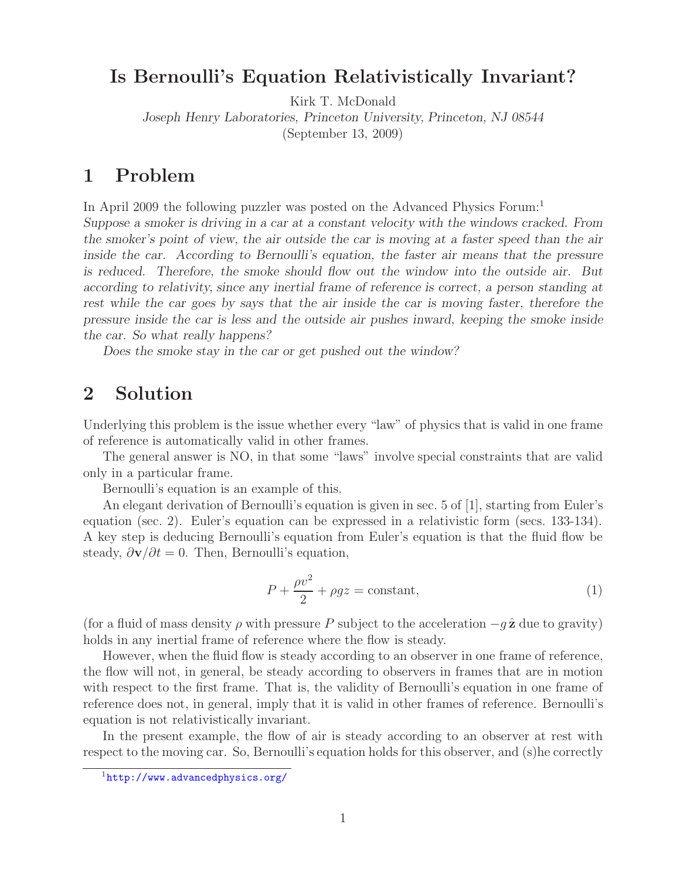## **Is Bernoulli's Equation Relativistically Invariant?**

Kirk T. McDonald

*Joseph Henry Laboratories, Princeton University, Princeton, NJ 08544*

(September 13, 2009)

## **1 Problem**

In April 2009 the following puzzler was posted on the Advanced Physics Forum:<sup>1</sup> *Suppose a smoker is driving in a car at a constant velocity with the windows cracked. From the smoker's point of view, the air outside the car is moving at a faster speed than the air inside the car.* According to Bernoulli's equation, the faster air means that the pressure *is reduced. Therefore, the smoke should flow out the window into the outside air. But according to relativity, since any inertial frame of reference is correct, a person standing at rest while the car goes by says that the air inside the car is moving faster, therefore the pressure inside the car is less and the outside air pushes inward, keeping the smoke inside the car. So what really happens?*

*Does the smoke stay in the car or get pushed out the window?*

## **2 Solution**

Underlying this problem is the issue whether every "law" of physics that is valid in one frame of reference is automatically valid in other frames.

The general answer is NO, in that some "laws" involve special constraints that are valid only in a particular frame.

Bernoulli's equation is an example of this.

An elegant derivation of Bernoulli's equation is given in sec. 5 of [1], starting from Euler's equation (sec. 2). Euler's equation can be expressed in a relativistic form (secs. 133-134). A key step is deducing Bernoulli's equation from Euler's equation is that the fluid flow be steady,  $\frac{\partial \mathbf{v}}{\partial t} = 0$ . Then, Bernoulli's equation,

$$
P + \frac{\rho v^2}{2} + \rho gz = \text{constant},\tag{1}
$$

(for a fluid of mass density  $\rho$  with pressure P subject to the acceleration  $-q\hat{z}$  due to gravity) holds in any inertial frame of reference where the flow is steady.

However, when the fluid flow is steady according to an observer in one frame of reference, the flow will not, in general, be steady according to observers in frames that are in motion with respect to the first frame. That is, the validity of Bernoulli's equation in one frame of reference does not, in general, imply that it is valid in other frames of reference. Bernoulli's equation is not relativistically invariant.

In the present example, the flow of air is steady according to an observer at rest with respect to the moving car. So, Bernoulli's equation holds for this observer, and (s)he correctly

<sup>1</sup>http://www.advancedphysics.org/